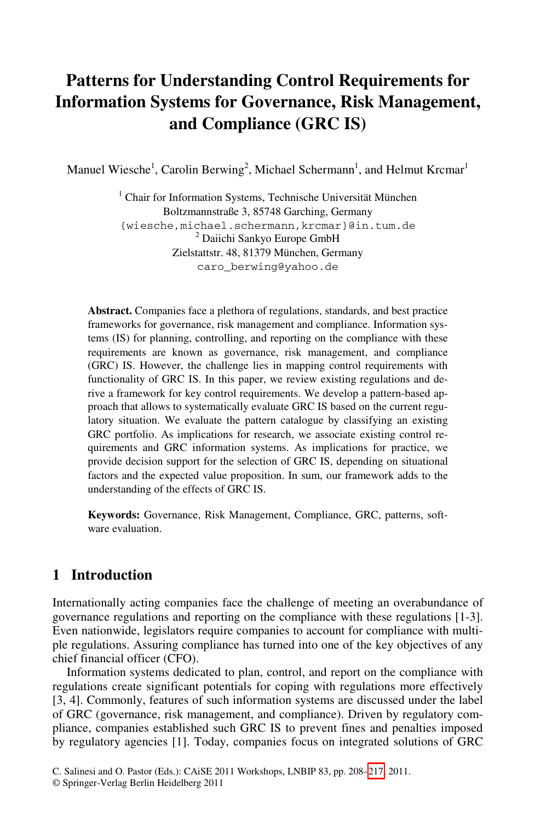# **Patterns for Understanding Control Requirements for Information Systems for Governance, Risk Management, and Compliance (GRC IS)**

Manuel Wiesche<sup>1</sup>, Carolin Berwing<sup>2</sup>, Michael Schermann<sup>1</sup>, and Helmut Krcmar<sup>1</sup>

<sup>1</sup> Chair for Information Systems, Technische Universität München Boltzmannstraße 3, 85748 Garching, Germany {wiesche,michael.schermann,krcmar}@in.tum.de <sup>2</sup> Daiichi Sankyo Europe GmbH Zielstattstr. 48, 81379 München, Germany caro\_berwing@yahoo.de

**Abstract.** Companies face a plethora of regulations, standards, and best practice frameworks for governance, risk management and compliance. Information systems (IS) for planning, controlling, and reporting on the compliance with these requirements are known as governance, risk management, and compliance (GRC) IS. However, the challenge lies in mapping control requirements with functionality of GRC IS. In this paper, we review existing regulations and derive a framework for key control requirements. We develop a pattern-based approach that allows to systematically evaluate GRC IS based on the current regulatory situation. We evaluate the pattern catalogue by classifying an existing GRC portfolio. As implications for research, we associate existing control requirements and GRC information systems. As implications for practice, we provide decision support for the selection of GRC IS, depending on situational factors and the expected value proposition. In sum, our framework adds to the understanding of the effects of GRC IS.

**Keywords:** Governance, Risk Management, Compliance, GRC, patterns, software evaluation.

## **1 Introduction**

Internationally acting companies face the challenge of meeting an overabundance of governance regulations and reporting on the compliance with these regulations [1-3]. Even nationwide, legislators require companies to account for compliance with multiple regulations. Assuring compliance has turned into one of the key objectives of any chief financial officer (CFO).

Information systems dedicated to plan, control, and report on the compliance with regulations create significant potentials for coping with regulations more effectively [3, 4]. Commonly, features of such information systems are discussed under the label of GRC (governance, risk management, and compliance). Driven by regulatory compliance, companies established such GRC IS to prevent fines and penalties imposed by regulatory agencies [1]. Today, companies focus on integrated solutions of GRC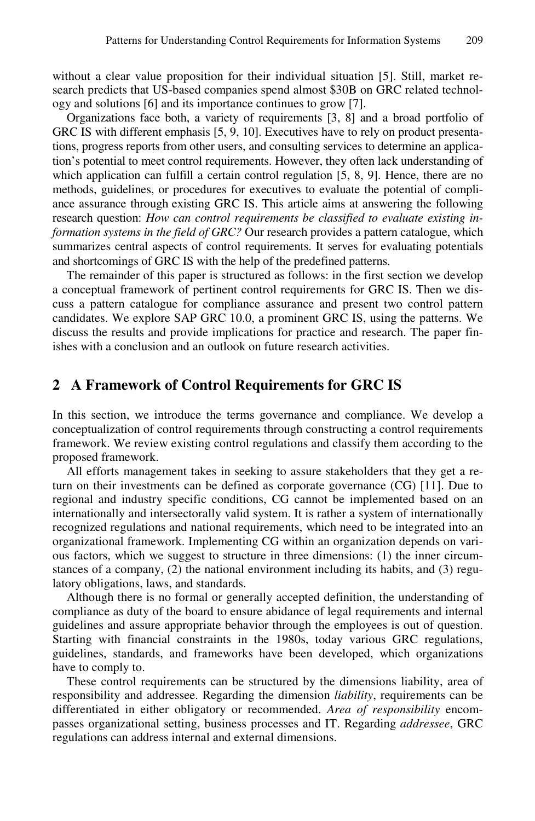without a clear value proposition for their individual situation [5]. Still, market research predicts that US-based companies spend almost \$30B on GRC related technology and solutions [6] and its importance continues to grow [7].

Organizations face both, a variety of requirements [3, 8] and a broad portfolio of GRC IS with different emphasis [5, 9, 10]. Executives have to rely on product presentations, progress reports from other users, and consulting services to determine an application's potential to meet control requirements. However, they often lack understanding of which application can fulfill a certain control regulation [5, 8, 9]. Hence, there are no methods, guidelines, or procedures for executives to evaluate the potential of compliance assurance through existing GRC IS. This article aims at answering the following research question: *How can control requirements be classified to evaluate existing information systems in the field of GRC?* Our research provides a pattern catalogue, which summarizes central aspects of control requirements. It serves for evaluating potentials and shortcomings of GRC IS with the help of the predefined patterns.

The remainder of this paper is structured as follows: in the first section we develop a conceptual framework of pertinent control requirements for GRC IS. Then we discuss a pattern catalogue for compliance assurance and present two control pattern candidates. We explore SAP GRC 10.0, a prominent GRC IS, using the patterns. We discuss the results and provide implications for practice and research. The paper finishes with a conclusion and an outlook on future research activities.

#### **2 A Framework of Control Requirements for GRC IS**

In this section, we introduce the terms governance and compliance. We develop a conceptualization of control requirements through constructing a control requirements framework. We review existing control regulations and classify them according to the proposed framework.

All efforts management takes in seeking to assure stakeholders that they get a return on their investments can be defined as corporate governance (CG) [11]. Due to regional and industry specific conditions, CG cannot be implemented based on an internationally and intersectorally valid system. It is rather a system of internationally recognized regulations and national requirements, which need to be integrated into an organizational framework. Implementing CG within an organization depends on various factors, which we suggest to structure in three dimensions: (1) the inner circumstances of a company, (2) the national environment including its habits, and (3) regulatory obligations, laws, and standards.

Although there is no formal or generally accepted definition, the understanding of compliance as duty of the board to ensure abidance of legal requirements and internal guidelines and assure appropriate behavior through the employees is out of question. Starting with financial constraints in the 1980s, today various GRC regulations, guidelines, standards, and frameworks have been developed, which organizations have to comply to.

These control requirements can be structured by the dimensions liability, area of responsibility and addressee. Regarding the dimension *liability*, requirements can be differentiated in either obligatory or recommended. *Area of responsibility* encompasses organizational setting, business processes and IT. Regarding *addressee*, GRC regulations can address internal and external dimensions.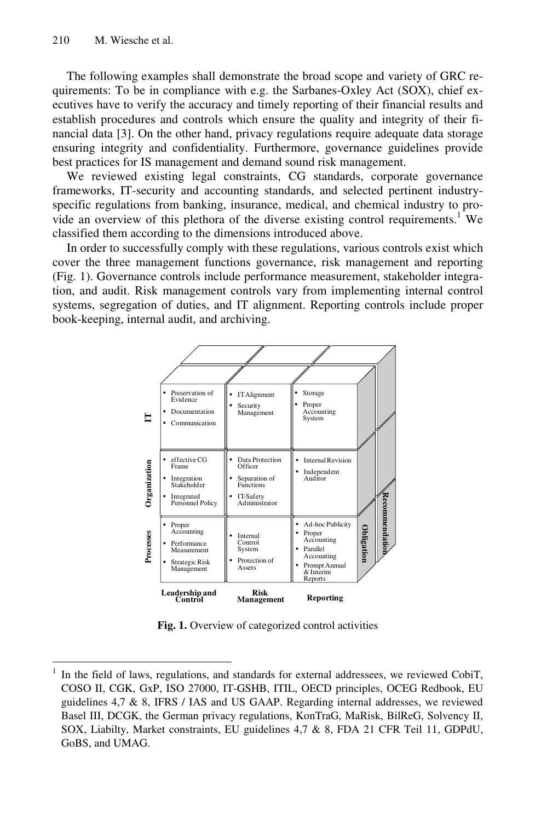-

The following examples shall demonstrate the broad scope and variety of GRC requirements: To be in compliance with e.g. the Sarbanes-Oxley Act (SOX), chief executives have to verify the accuracy and timely reporting of their financial results and establish procedures and controls which ensure the quality and integrity of their financial data [3]. On the other hand, privacy regulations require adequate data storage ensuring integrity and confidentiality. Furthermore, governance guidelines provide best practices for IS management and demand sound risk management.

We reviewed existing legal constraints, CG standards, corporate governance frameworks, IT-security and accounting standards, and selected pertinent industryspecific regulations from banking, insurance, medical, and chemical industry to provide an overview of this plethora of the diverse existing control requirements.<sup>1</sup> We classified them according to the dimensions introduced above.

In order to successfully comply with these regulations, various controls exist which cover the three management functions governance, risk management and reporting (Fig. 1). Governance controls include performance measurement, stakeholder integration, and audit. Risk management controls vary from implementing internal control systems, segregation of duties, and IT alignment. Reporting controls include proper book-keeping, internal audit, and archiving.



**Fig. 1.** Overview of categorized control activities

<sup>1</sup> In the field of laws, regulations, and standards for external addressees, we reviewed CobiT, COSO II, CGK, GxP, ISO 27000, IT-GSHB, ITIL, OECD principles, OCEG Redbook, EU guidelines 4,7 & 8, IFRS / IAS and US GAAP. Regarding internal addresses, we reviewed Basel III, DCGK, the German privacy regulations, KonTraG, MaRisk, BilReG, Solvency II, SOX, Liabilty, Market constraints, EU guidelines 4,7 & 8, FDA 21 CFR Teil 11, GDPdU, GoBS, and UMAG.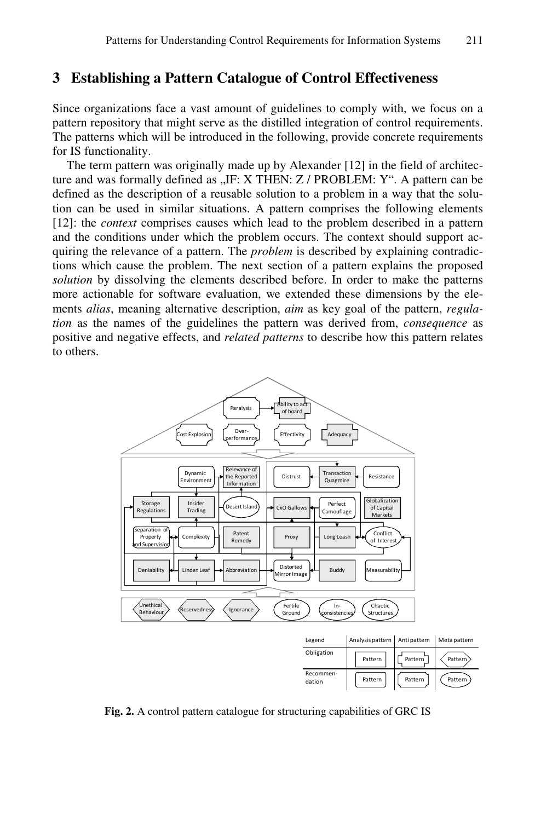#### **3 Establishing a Pattern Catalogue of Control Effectiveness**

Since organizations face a vast amount of guidelines to comply with, we focus on a pattern repository that might serve as the distilled integration of control requirements. The patterns which will be introduced in the following, provide concrete requirements for IS functionality.

The term pattern was originally made up by Alexander [12] in the field of architecture and was formally defined as "IF: X THEN: Z / PROBLEM: Y". A pattern can be defined as the description of a reusable solution to a problem in a way that the solution can be used in similar situations. A pattern comprises the following elements [12]: the *context* comprises causes which lead to the problem described in a pattern and the conditions under which the problem occurs. The context should support acquiring the relevance of a pattern. The *problem* is described by explaining contradictions which cause the problem. The next section of a pattern explains the proposed *solution* by dissolving the elements described before. In order to make the patterns more actionable for software evaluation, we extended these dimensions by the elements *alias*, meaning alternative description, *aim* as key goal of the pattern, *regulation* as the names of the guidelines the pattern was derived from, *consequence* as positive and negative effects, and *related patterns* to describe how this pattern relates to others.



**Fig. 2.** A control pattern catalogue for structuring capabilities of GRC IS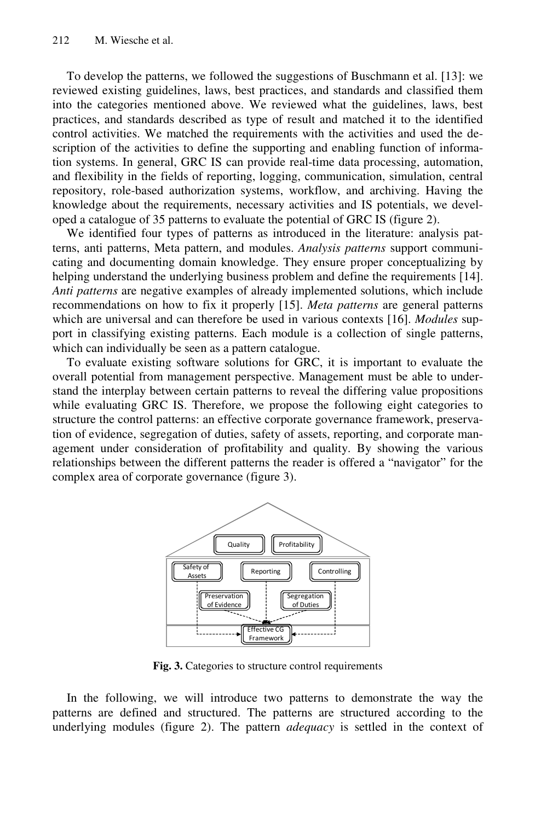To develop the patterns, we followed the suggestions of Buschmann et al. [13]: we reviewed existing guidelines, laws, best practices, and standards and classified them into the categories mentioned above. We reviewed what the guidelines, laws, best practices, and standards described as type of result and matched it to the identified control activities. We matched the requirements with the activities and used the description of the activities to define the supporting and enabling function of information systems. In general, GRC IS can provide real-time data processing, automation, and flexibility in the fields of reporting, logging, communication, simulation, central repository, role-based authorization systems, workflow, and archiving. Having the knowledge about the requirements, necessary activities and IS potentials, we developed a catalogue of 35 patterns to evaluate the potential of GRC IS (figure 2).

We identified four types of patterns as introduced in the literature: analysis patterns, anti patterns, Meta pattern, and modules. *Analysis patterns* support communicating and documenting domain knowledge. They ensure proper conceptualizing by helping understand the underlying business problem and define the requirements [14]. *Anti patterns* are negative examples of already implemented solutions, which include recommendations on how to fix it properly [15]. *Meta patterns* are general patterns which are universal and can therefore be used in various contexts [16]. *Modules* support in classifying existing patterns. Each module is a collection of single patterns, which can individually be seen as a pattern catalogue.

To evaluate existing software solutions for GRC, it is important to evaluate the overall potential from management perspective. Management must be able to understand the interplay between certain patterns to reveal the differing value propositions while evaluating GRC IS. Therefore, we propose the following eight categories to structure the control patterns: an effective corporate governance framework, preservation of evidence, segregation of duties, safety of assets, reporting, and corporate management under consideration of profitability and quality. By showing the various relationships between the different patterns the reader is offered a "navigator" for the complex area of corporate governance (figure 3).



**Fig. 3.** Categories to structure control requirements

In the following, we will introduce two patterns to demonstrate the way the patterns are defined and structured. The patterns are structured according to the underlying modules (figure 2). The pattern *adequacy* is settled in the context of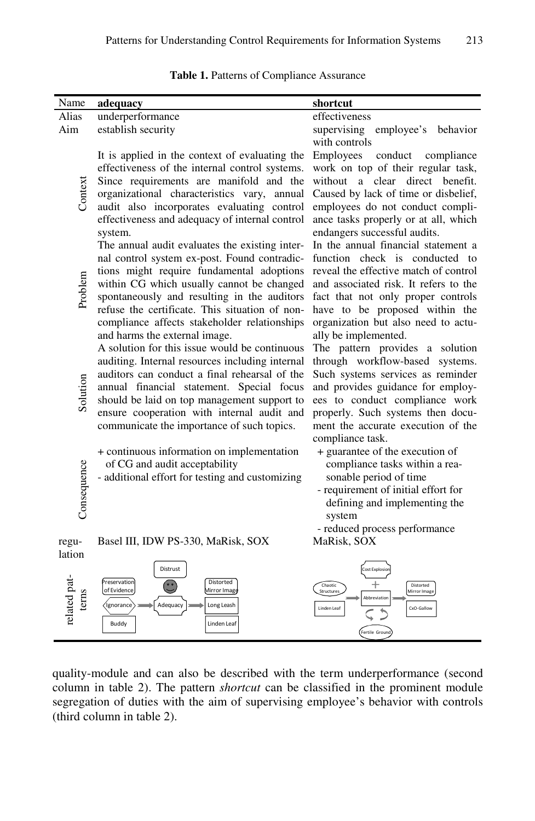| Name         | adequacy                                        | shortcut                                  |
|--------------|-------------------------------------------------|-------------------------------------------|
| Alias        | underperformance                                | effectiveness                             |
| Aim          | establish security                              | supervising<br>employee's<br>behavior     |
|              |                                                 | with controls                             |
|              | It is applied in the context of evaluating the  | Employees<br>conduct<br>compliance        |
|              | effectiveness of the internal control systems.  | work on top of their regular task,        |
|              | Since requirements are manifold and the         | without<br>a clear direct<br>benefit.     |
| Context      | organizational characteristics vary, annual     | Caused by lack of time or disbelief,      |
|              | audit also incorporates evaluating control      | employees do not conduct compli-          |
|              | effectiveness and adequacy of internal control  | ance tasks properly or at all, which      |
|              | system.                                         | endangers successful audits.              |
|              | The annual audit evaluates the existing inter-  | In the annual financial statement a       |
|              | nal control system ex-post. Found contradic-    | function check is conducted to            |
|              | tions might require fundamental adoptions       | reveal the effective match of control     |
|              | within CG which usually cannot be changed       | and associated risk. It refers to the     |
| Problem      | spontaneously and resulting in the auditors     | fact that not only proper controls        |
|              | refuse the certificate. This situation of non-  | have to be proposed within the            |
|              | compliance affects stakeholder relationships    | organization but also need to actu-       |
|              | and harms the external image.                   | ally be implemented.                      |
|              | A solution for this issue would be continuous   | The pattern provides a solution           |
|              | auditing. Internal resources including internal | through workflow-based systems.           |
|              | auditors can conduct a final rehearsal of the   | Such systems services as reminder         |
|              | annual financial statement. Special focus       | and provides guidance for employ-         |
| Solution     | should be laid on top management support to     | ees to conduct compliance work            |
|              | ensure cooperation with internal audit and      | properly. Such systems then docu-         |
|              | communicate the importance of such topics.      | ment the accurate execution of the        |
|              |                                                 | compliance task.                          |
|              | + continuous information on implementation      | + guarantee of the execution of           |
|              | of CG and audit acceptability                   | compliance tasks within a rea-            |
|              | - additional effort for testing and customizing | sonable period of time                    |
|              |                                                 | - requirement of initial effort for       |
| Consequence  |                                                 | defining and implementing the             |
|              |                                                 | system                                    |
|              |                                                 | - reduced process performance             |
| regu-        | Basel III, IDW PS-330, MaRisk, SOX              | MaRisk, SOX                               |
| lation       |                                                 |                                           |
|              | Distrust                                        | ost Explosia                              |
|              | reservation<br>Distorted                        | +<br>Chaotic<br>Distorted                 |
| terns        | of Evidence<br>Airror Imag                      | Structure<br>Mirror Image<br>Abbreviation |
| related pat- | <i>ignorance</i><br>Adequacy<br>Long Leash      | Linden Lea<br>CxO-Gallov                  |
|              | Buddy<br>Linden Leaf                            |                                           |
|              |                                                 | Fertile Groun                             |

**Table 1.** Patterns of Compliance Assurance

quality-module and can also be described with the term underperformance (second column in table 2). The pattern *shortcut* can be classified in the prominent module segregation of duties with the aim of supervising employee's behavior with controls (third column in table 2).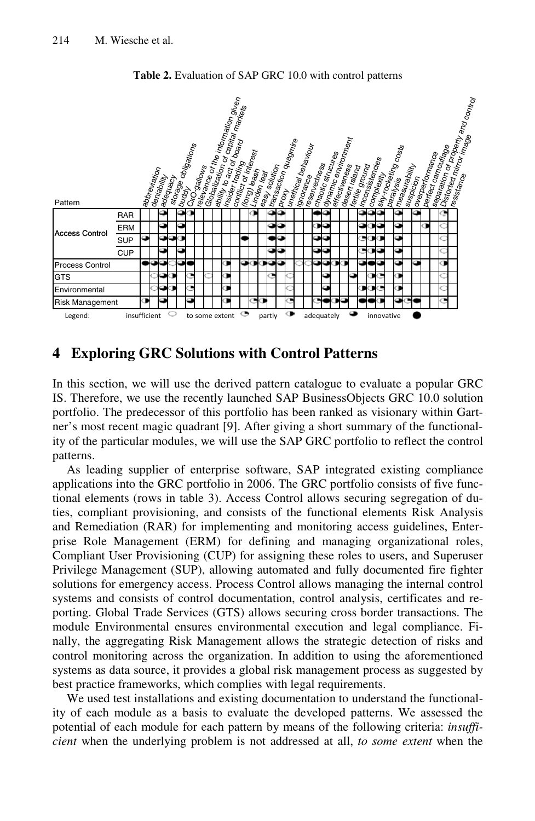

**Table 2.** Evaluation of SAP GRC 10.0 with control patterns

### **4 Exploring GRC Solutions with Control Patterns**

In this section, we will use the derived pattern catalogue to evaluate a popular GRC IS. Therefore, we use the recently launched SAP BusinessObjects GRC 10.0 solution portfolio. The predecessor of this portfolio has been ranked as visionary within Gartner's most recent magic quadrant [9]. After giving a short summary of the functionality of the particular modules, we will use the SAP GRC portfolio to reflect the control patterns.

As leading supplier of enterprise software, SAP integrated existing compliance applications into the GRC portfolio in 2006. The GRC portfolio consists of five functional elements (rows in table 3). Access Control allows securing segregation of duties, compliant provisioning, and consists of the functional elements Risk Analysis and Remediation (RAR) for implementing and monitoring access guidelines, Enterprise Role Management (ERM) for defining and managing organizational roles, Compliant User Provisioning (CUP) for assigning these roles to users, and Superuser Privilege Management (SUP), allowing automated and fully documented fire fighter solutions for emergency access. Process Control allows managing the internal control systems and consists of control documentation, control analysis, certificates and reporting. Global Trade Services (GTS) allows securing cross border transactions. The module Environmental ensures environmental execution and legal compliance. Finally, the aggregating Risk Management allows the strategic detection of risks and control monitoring across the organization. In addition to using the aforementioned systems as data source, it provides a global risk management process as suggested by best practice frameworks, which complies with legal requirements.

We used test installations and existing documentation to understand the functionality of each module as a basis to evaluate the developed patterns. We assessed the potential of each module for each pattern by means of the following criteria: *insufficient* when the underlying problem is not addressed at all, *to some extent* when the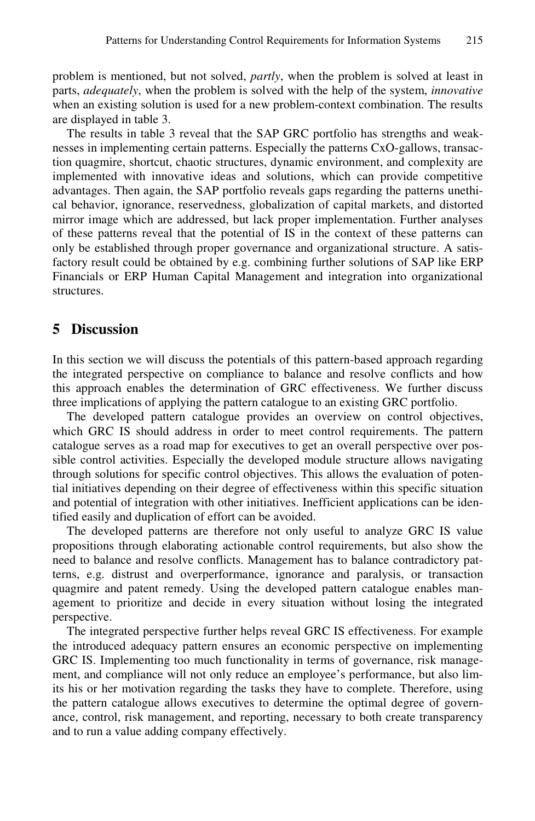problem is mentioned, but not solved, *partly*, when the problem is solved at least in parts, *adequately*, when the problem is solved with the help of the system, *innovative* when an existing solution is used for a new problem-context combination. The results are displayed in table 3.

The results in table 3 reveal that the SAP GRC portfolio has strengths and weaknesses in implementing certain patterns. Especially the patterns CxO-gallows, transaction quagmire, shortcut, chaotic structures, dynamic environment, and complexity are implemented with innovative ideas and solutions, which can provide competitive advantages. Then again, the SAP portfolio reveals gaps regarding the patterns unethical behavior, ignorance, reservedness, globalization of capital markets, and distorted mirror image which are addressed, but lack proper implementation. Further analyses of these patterns reveal that the potential of IS in the context of these patterns can only be established through proper governance and organizational structure. A satisfactory result could be obtained by e.g. combining further solutions of SAP like ERP Financials or ERP Human Capital Management and integration into organizational structures.

#### **5 Discussion**

In this section we will discuss the potentials of this pattern-based approach regarding the integrated perspective on compliance to balance and resolve conflicts and how this approach enables the determination of GRC effectiveness. We further discuss three implications of applying the pattern catalogue to an existing GRC portfolio.

The developed pattern catalogue provides an overview on control objectives, which GRC IS should address in order to meet control requirements. The pattern catalogue serves as a road map for executives to get an overall perspective over possible control activities. Especially the developed module structure allows navigating through solutions for specific control objectives. This allows the evaluation of potential initiatives depending on their degree of effectiveness within this specific situation and potential of integration with other initiatives. Inefficient applications can be identified easily and duplication of effort can be avoided.

The developed patterns are therefore not only useful to analyze GRC IS value propositions through elaborating actionable control requirements, but also show the need to balance and resolve conflicts. Management has to balance contradictory patterns, e.g. distrust and overperformance, ignorance and paralysis, or transaction quagmire and patent remedy. Using the developed pattern catalogue enables management to prioritize and decide in every situation without losing the integrated perspective.

The integrated perspective further helps reveal GRC IS effectiveness. For example the introduced adequacy pattern ensures an economic perspective on implementing GRC IS. Implementing too much functionality in terms of governance, risk management, and compliance will not only reduce an employee's performance, but also limits his or her motivation regarding the tasks they have to complete. Therefore, using the pattern catalogue allows executives to determine the optimal degree of governance, control, risk management, and reporting, necessary to both create transparency and to run a value adding company effectively.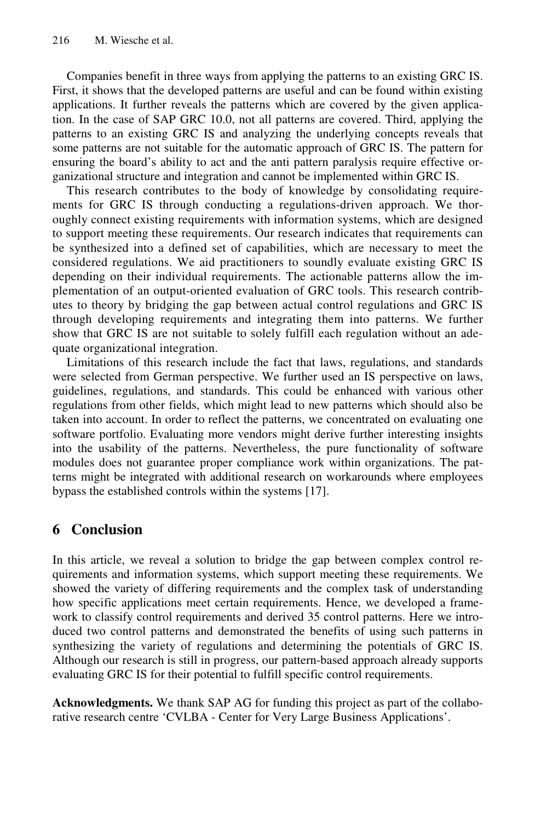Companies benefit in three ways from applying the patterns to an existing GRC IS. First, it shows that the developed patterns are useful and can be found within existing applications. It further reveals the patterns which are covered by the given application. In the case of SAP GRC 10.0, not all patterns are covered. Third, applying the patterns to an existing GRC IS and analyzing the underlying concepts reveals that some patterns are not suitable for the automatic approach of GRC IS. The pattern for ensuring the board's ability to act and the anti pattern paralysis require effective organizational structure and integration and cannot be implemented within GRC IS.

This research contributes to the body of knowledge by consolidating requirements for GRC IS through conducting a regulations-driven approach. We thoroughly connect existing requirements with information systems, which are designed to support meeting these requirements. Our research indicates that requirements can be synthesized into a defined set of capabilities, which are necessary to meet the considered regulations. We aid practitioners to soundly evaluate existing GRC IS depending on their individual requirements. The actionable patterns allow the implementation of an output-oriented evaluation of GRC tools. This research contributes to theory by bridging the gap between actual control regulations and GRC IS through developing requirements and integrating them into patterns. We further show that GRC IS are not suitable to solely fulfill each regulation without an adequate organizational integration.

Limitations of this research include the fact that laws, regulations, and standards were selected from German perspective. We further used an IS perspective on laws, guidelines, regulations, and standards. This could be enhanced with various other regulations from other fields, which might lead to new patterns which should also be taken into account. In order to reflect the patterns, we concentrated on evaluating one software portfolio. Evaluating more vendors might derive further interesting insights into the usability of the patterns. Nevertheless, the pure functionality of software modules does not guarantee proper compliance work within organizations. The patterns might be integrated with additional research on workarounds where employees bypass the established controls within the systems [17].

## **6 Conclusion**

In this article, we reveal a solution to bridge the gap between complex control requirements and information systems, which support meeting these requirements. We showed the variety of differing requirements and the complex task of understanding how specific applications meet certain requirements. Hence, we developed a framework to classify control requirements and derived 35 control patterns. Here we introduced two control patterns and demonstrated the benefits of using such patterns in synthesizing the variety of regulations and determining the potentials of GRC IS. Although our research is still in progress, our pattern-based approach already supports evaluating GRC IS for their potential to fulfill specific control requirements.

**Acknowledgments.** We thank SAP AG for funding this project as part of the collaborative research centre 'CVLBA - Center for Very Large Business Applications'.